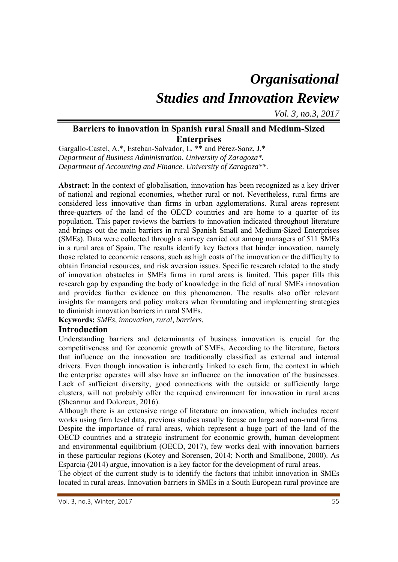# *Organisational Studies and Innovation Review*

*Vol. 3, no.3, 2017*

# **Barriers to innovation in Spanish rural Small and Medium-Sized Enterprises**

Gargallo-Castel, A.\*, Esteban-Salvador, L. \*\* and Pérez-Sanz, J.\* *Department of Business Administration. University of Zaragoza\*. Department of Accounting and Finance. University of Zaragoza\*\*.* 

**Abstract**: In the context of globalisation, innovation has been recognized as a key driver of national and regional economies, whether rural or not. Nevertheless, rural firms are considered less innovative than firms in urban agglomerations. Rural areas represent three-quarters of the land of the OECD countries and are home to a quarter of its population. This paper reviews the barriers to innovation indicated throughout literature and brings out the main barriers in rural Spanish Small and Medium-Sized Enterprises (SMEs). Data were collected through a survey carried out among managers of 511 SMEs in a rural area of Spain. The results identify key factors that hinder innovation, namely those related to economic reasons, such as high costs of the innovation or the difficulty to obtain financial resources, and risk aversion issues. Specific research related to the study of innovation obstacles in SMEs firms in rural areas is limited. This paper fills this research gap by expanding the body of knowledge in the field of rural SMEs innovation and provides further evidence on this phenomenon. The results also offer relevant insights for managers and policy makers when formulating and implementing strategies to diminish innovation barriers in rural SMEs.

**Keywords:** *SMEs, innovation, rural, barriers.* 

# **Introduction**

Understanding barriers and determinants of business innovation is crucial for the competitiveness and for economic growth of SMEs. According to the literature, factors that influence on the innovation are traditionally classified as external and internal drivers. Even though innovation is inherently linked to each firm, the context in which the enterprise operates will also have an influence on the innovation of the businesses. Lack of sufficient diversity, good connections with the outside or sufficiently large clusters, will not probably offer the required environment for innovation in rural areas (Shearmur and Doloreux, 2016).

Although there is an extensive range of literature on innovation, which includes recent works using firm level data, previous studies usually focuse on large and non-rural firms. Despite the importance of rural areas, which represent a huge part of the land of the OECD countries and a strategic instrument for economic growth, human development and environmental equilibrium (OECD, 2017), few works deal with innovation barriers in these particular regions (Kotey and Sorensen, 2014; North and Smallbone, 2000). As Esparcia (2014) argue, innovation is a key factor for the development of rural areas.

The object of the current study is to identify the factors that inhibit innovation in SMEs located in rural areas. Innovation barriers in SMEs in a South European rural province are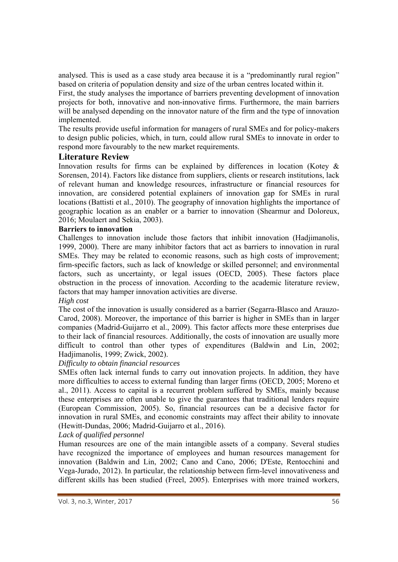analysed. This is used as a case study area because it is a "predominantly rural region" based on criteria of population density and size of the urban centres located within it.

First, the study analyses the importance of barriers preventing development of innovation projects for both, innovative and non-innovative firms. Furthermore, the main barriers will be analysed depending on the innovator nature of the firm and the type of innovation implemented.

The results provide useful information for managers of rural SMEs and for policy-makers to design public policies, which, in turn, could allow rural SMEs to innovate in order to respond more favourably to the new market requirements.

# **Literature Review**

Innovation results for firms can be explained by differences in location (Kotey & Sorensen, 2014). Factors like distance from suppliers, clients or research institutions, lack of relevant human and knowledge resources, infrastructure or financial resources for innovation, are considered potential explainers of innovation gap for SMEs in rural locations (Battisti et al., 2010). The geography of innovation highlights the importance of geographic location as an enabler or a barrier to innovation (Shearmur and Doloreux, 2016; Moulaert and Sekia, 2003).

#### **Barriers to innovation**

Challenges to innovation include those factors that inhibit innovation (Hadjimanolis, 1999, 2000). There are many inhibitor factors that act as barriers to innovation in rural SMEs. They may be related to economic reasons, such as high costs of improvement; firm-specific factors, such as lack of knowledge or skilled personnel; and environmental factors, such as uncertainty, or legal issues (OECD, 2005). These factors place obstruction in the process of innovation. According to the academic literature review, factors that may hamper innovation activities are diverse.

# *High cost*

The cost of the innovation is usually considered as a barrier (Segarra-Blasco and Arauzo-Carod, 2008). Moreover, the importance of this barrier is higher in SMEs than in larger companies (Madrid-Guijarro et al., 2009). This factor affects more these enterprises due to their lack of financial resources. Additionally, the costs of innovation are usually more difficult to control than other types of expenditures (Baldwin and Lin, 2002; Hadjimanolis, 1999; Zwick, 2002).

# *Difficulty to obtain financial resources*

SMEs often lack internal funds to carry out innovation projects. In addition, they have more difficulties to access to external funding than larger firms (OECD, 2005; Moreno et al., 2011). Access to capital is a recurrent problem suffered by SMEs, mainly because these enterprises are often unable to give the guarantees that traditional lenders require (European Commission, 2005). So, financial resources can be a decisive factor for innovation in rural SMEs, and economic constraints may affect their ability to innovate (Hewitt-Dundas, 2006; Madrid-Guijarro et al., 2016).

#### *Lack of qualified personnel*

Human resources are one of the main intangible assets of a company. Several studies have recognized the importance of employees and human resources management for innovation (Baldwin and Lin, 2002; Cano and Cano, 2006; D'Este, Rentocchini and Vega-Jurado, 2012). In particular, the relationship between firm-level innovativeness and different skills has been studied (Freel, 2005). Enterprises with more trained workers,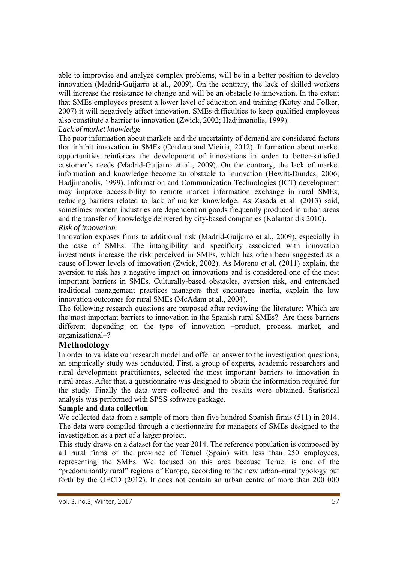able to improvise and analyze complex problems, will be in a better position to develop innovation (Madrid‐Guijarro et al., 2009). On the contrary, the lack of skilled workers will increase the resistance to change and will be an obstacle to innovation. In the extent that SMEs employees present a lower level of education and training (Kotey and Folker, 2007) it will negatively affect innovation. SMEs difficulties to keep qualified employees also constitute a barrier to innovation (Zwick, 2002; Hadjimanolis, 1999).

#### *Lack of market knowledge*

The poor information about markets and the uncertainty of demand are considered factors that inhibit innovation in SMEs (Cordero and Vieiria, 2012). Information about market opportunities reinforces the development of innovations in order to better-satisfied customer's needs (Madrid-Guijarro et al., 2009). On the contrary, the lack of market information and knowledge become an obstacle to innovation (Hewitt-Dundas, 2006; Hadjimanolis, 1999). Information and Communication Technologies (ICT) development may improve accessibility to remote market information exchange in rural SMEs, reducing barriers related to lack of market knowledge. As Zasada et al. (2013) said, sometimes modern industries are dependent on goods frequently produced in urban areas and the transfer of knowledge delivered by city-based companies (Kalantaridis 2010). *Risk of innovation* 

Innovation exposes firms to additional risk (Madrid-Guijarro et al., 2009), especially in the case of SMEs. The intangibility and specificity associated with innovation investments increase the risk perceived in SMEs, which has often been suggested as a cause of lower levels of innovation (Zwick, 2002). As Moreno et al. (2011) explain, the aversion to risk has a negative impact on innovations and is considered one of the most important barriers in SMEs. Culturally-based obstacles, aversion risk, and entrenched traditional management practices managers that encourage inertia, explain the low innovation outcomes for rural SMEs (McAdam et al., 2004).

The following research questions are proposed after reviewing the literature: Which are the most important barriers to innovation in the Spanish rural SMEs? Are these barriers different depending on the type of innovation –product, process, market, and organizational–?

# **Methodology**

In order to validate our research model and offer an answer to the investigation questions, an empirically study was conducted. First, a group of experts, academic researchers and rural development practitioners, selected the most important barriers to innovation in rural areas. After that, a questionnaire was designed to obtain the information required for the study. Finally the data were collected and the results were obtained. Statistical analysis was performed with SPSS software package.

# **Sample and data collection**

We collected data from a sample of more than five hundred Spanish firms (511) in 2014. The data were compiled through a questionnaire for managers of SMEs designed to the investigation as a part of a larger project.

This study draws on a dataset for the year 2014. The reference population is composed by all rural firms of the province of Teruel (Spain) with less than 250 employees, representing the SMEs. We focused on this area because Teruel is one of the "predominantly rural" regions of Europe, according to the new urban–rural typology put forth by the OECD (2012). It does not contain an urban centre of more than 200 000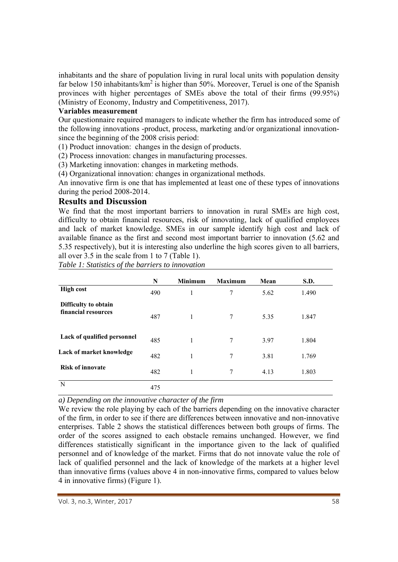inhabitants and the share of population living in rural local units with population density far below 150 inhabitants/ $km^2$  is higher than 50%. Moreover, Teruel is one of the Spanish provinces with higher percentages of SMEs above the total of their firms (99.95%) (Ministry of Economy, Industry and Competitiveness, 2017).

#### **Variables measurement**

Our questionnaire required managers to indicate whether the firm has introduced some of the following innovations -product, process, marketing and/or organizational innovationsince the beginning of the 2008 crisis period:

(1) Product innovation: changes in the design of products.

(2) Process innovation: changes in manufacturing processes.

(3) Marketing innovation: changes in marketing methods.

(4) Organizational innovation: changes in organizational methods.

An innovative firm is one that has implemented at least one of these types of innovations during the period 2008-2014.

# **Results and Discussion**

We find that the most important barriers to innovation in rural SMEs are high cost, difficulty to obtain financial resources, risk of innovating, lack of qualified employees and lack of market knowledge. SMEs in our sample identify high cost and lack of available finance as the first and second most important barrier to innovation (5.62 and 5.35 respectively), but it is interesting also underline the high scores given to all barriers, all over 3.5 in the scale from 1 to 7 (Table 1).

*Table 1: Statistics of the barriers to innovation* 

|                                             | N   | <b>Minimum</b> | <b>Maximum</b> | Mean | <b>S.D.</b> |
|---------------------------------------------|-----|----------------|----------------|------|-------------|
| <b>High cost</b>                            | 490 | 1              | 7              | 5.62 | 1.490       |
| Difficulty to obtain<br>financial resources | 487 | 1              | 7              | 5.35 | 1.847       |
| Lack of qualified personnel                 | 485 | 1              | $\overline{7}$ | 3.97 | 1.804       |
| Lack of market knowledge                    | 482 | 1              | $\tau$         | 3.81 | 1.769       |
| <b>Risk of innovate</b>                     | 482 | 1              | 7              | 4.13 | 1.803       |
| N                                           | 475 |                |                |      |             |

*a) Depending on the innovative character of the firm* 

We review the role playing by each of the barriers depending on the innovative character of the firm, in order to see if there are differences between innovative and non-innovative enterprises. Table 2 shows the statistical differences between both groups of firms. The order of the scores assigned to each obstacle remains unchanged. However, we find differences statistically significant in the importance given to the lack of qualified personnel and of knowledge of the market. Firms that do not innovate value the role of lack of qualified personnel and the lack of knowledge of the markets at a higher level than innovative firms (values above 4 in non-innovative firms, compared to values below 4 in innovative firms) (Figure 1).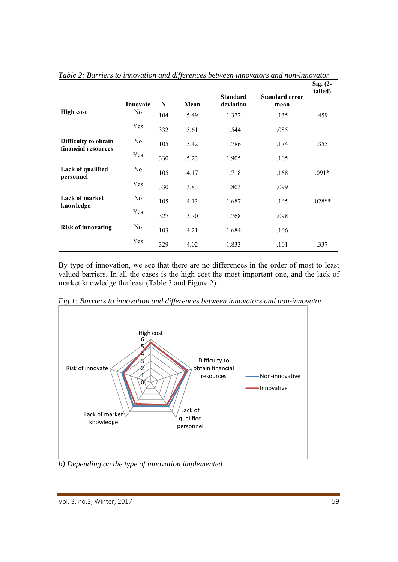|                                             |                |     |      | <b>Standard</b> | <b>Standard error</b> | Sig. (2-<br>tailed) |
|---------------------------------------------|----------------|-----|------|-----------------|-----------------------|---------------------|
|                                             | Innovate       | N   | Mean | deviation       | mean                  |                     |
| <b>High cost</b>                            | No             | 104 | 5.49 | 1.372           | .135                  | .459                |
|                                             | Yes            | 332 | 5.61 | 1.544           | .085                  |                     |
| Difficulty to obtain<br>financial resources | No             | 105 | 5.42 | 1.786           | .174                  | .355                |
|                                             | Yes            | 330 | 5.23 | 1.905           | .105                  |                     |
| Lack of qualified<br>personnel              | N <sub>o</sub> | 105 | 4.17 | 1.718           | .168                  | $.091*$             |
|                                             | Yes            | 330 | 3.83 | 1.803           | .099                  |                     |
| <b>Lack of market</b><br>knowledge          | N <sub>o</sub> | 105 | 4.13 | 1.687           | .165                  | $.028**$            |
|                                             | Yes            | 327 | 3.70 | 1.768           | .098                  |                     |
| <b>Risk of innovating</b>                   | No             | 103 | 4.21 | 1.684           | .166                  |                     |
|                                             | Yes            | 329 | 4.02 | 1.833           | .101                  | .337                |

*Table 2: Barriers to innovation and differences between innovators and non-innovator* 

By type of innovation, we see that there are no differences in the order of most to least valued barriers. In all the cases is the high cost the most important one, and the lack of market knowledge the least (Table 3 and Figure 2).



*Fig 1: Barriers to innovation and differences between innovators and non-innovator* 

*b) Depending on the type of innovation implemented*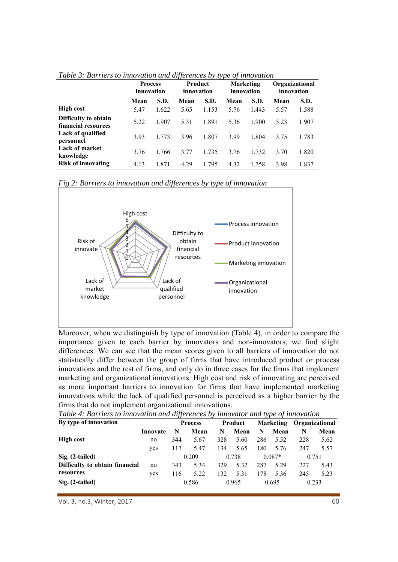|                                             | <b>Process</b><br>innovation |       | Product<br>innovation |       | <b>Marketing</b><br>innovation |       | Organizational<br>innovation |       |
|---------------------------------------------|------------------------------|-------|-----------------------|-------|--------------------------------|-------|------------------------------|-------|
|                                             | Mean                         | S.D.  | Mean                  | S.D.  | Mean                           | S.D.  | Mean                         | S.D.  |
| <b>High cost</b>                            | 5.47                         | 1.622 | 5.65                  | 1.153 | 5.76                           | 1.443 | 5.57                         | 1.588 |
| Difficulty to obtain<br>financial resources | 5.22                         | 1.907 | 5.31                  | 1.891 | 5.36                           | 1.900 | 5.23                         | 1.907 |
| Lack of qualified<br>personnel              | 3.93                         | 1.773 | 3.96                  | 1.807 | 3.99                           | 1.804 | 3.75                         | 1.783 |
| <b>Lack of market</b><br>knowledge          | 3.76                         | 1.766 | 3.77                  | 1.735 | 3.76                           | 1.732 | 3.70                         | 1.820 |
| <b>Risk of innovating</b>                   | 4.13                         | 1.871 | 4.29                  | 1.795 | 4.32                           | 1.758 | 3.98                         | 1.837 |

*Table 3: Barriers to innovation and differences by type of innovation* 

*Fig 2: Barriers to innovation and differences by type of innovation* 



Moreover, when we distinguish by type of innovation (Table 4), in order to compare the importance given to each barrier by innovators and non-innovators, we find slight differences. We can see that the mean scores given to all barriers of innovation do not statistically differ between the group of firms that have introduced product or process innovations and the rest of firms, and only do in three cases for the firms that implement marketing and organizational innovations. High cost and risk of innovating are perceived as more important barriers to innovation for firms that have implemented marketing innovations while the lack of qualified personnel is perceived as a higher barrier by the firms that do not implement organizational innovations.

| By type of innovation          |          | $\cdot$<br><b>Process</b> |       | Product |       |       |          | Marketing Organizational |       |
|--------------------------------|----------|---------------------------|-------|---------|-------|-------|----------|--------------------------|-------|
|                                | Innovate | N                         | Mean  | N       | Mean  | N     | Mean     | N                        | Mean  |
| <b>High cost</b>               | no       | 344                       | 5.67  | 328     | 5.60  | 286   | 5.52     | 228                      | 5.62  |
|                                | yes      | 117                       | 5.47  | 134     | 5.65  | 180   | 5.76     | 247                      | 5.57  |
| Sig. (2-tailed)                |          |                           | 0.209 |         | 0.738 |       | $0.087*$ |                          | 0.751 |
| Difficulty to obtain financial | no       | 343                       | 5.34  | 329     | 5.32  | 287   | 5.29     | 227                      | 5.43  |
| resources                      | yes      | 116                       | 5.22  | 132     | 5.31  | 178   | 5.36     | 245                      | 5.23  |
| Sig. (2-tailed)                |          | 0.586                     |       | 0.965   |       | 0.695 |          | 0.233                    |       |

*Table 4: Barriers to innovation and differences by innovator and type of innovation* 

Vol. 3, no.3, Winter, 2017 60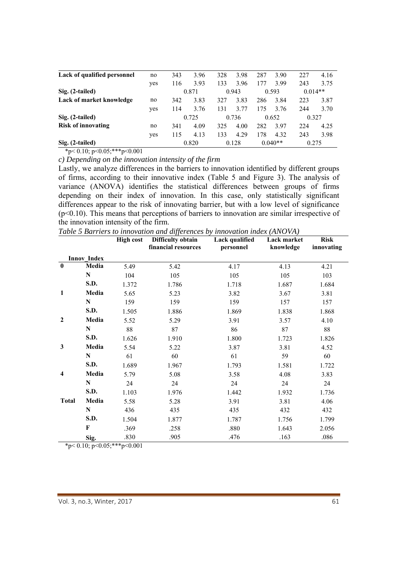| Lack of qualified personnel | no  | 343 | 3.96  | 328 | 3.98  | 287 | 3.90      | 227       | 4.16 |
|-----------------------------|-----|-----|-------|-----|-------|-----|-----------|-----------|------|
|                             | yes | 116 | 3.93  | 133 | 3.96  | 177 | 3.99      | 243       | 3.75 |
| Sig. (2-tailed)             |     |     | 0.871 |     | 0.943 |     | 0.593     | $0.014**$ |      |
| Lack of market knowledge    | no  | 342 | 3.83  | 327 | 3.83  | 286 | 3.84      | 223       | 3.87 |
|                             | yes | 114 | 3.76  | 131 | 3.77  | 175 | 3.76      | 244       | 3.70 |
| Sig. (2-tailed)             |     |     | 0.725 |     | 0.736 |     | 0.652     | 0.327     |      |
| <b>Risk of innovating</b>   | no  | 341 | 4.09  | 325 | 4.00  | 282 | 3.97      | 224       | 4.25 |
|                             | yes | 115 | 4.13  | 133 | 4.29  | 178 | 4.32      | 243       | 3.98 |
| Sig. (2-tailed)             |     |     | 0.820 |     | 0.128 |     | $0.040**$ | 0.275     |      |

 $*p<0.10; p<0.05; **p<0.001$ 

*c) Depending on the innovation intensity of the firm* 

Lastly, we analyze differences in the barriers to innovation identified by different groups of firms, according to their innovative index (Table 5 and Figure 3). The analysis of variance (ANOVA) identifies the statistical differences between groups of firms depending on their index of innovation. In this case, only statistically significant differences appear to the risk of innovating barrier, but with a low level of significance (p<0.10). This means that perceptions of barriers to innovation are similar irrespective of the innovation intensity of the firm.

*Table 5 Barriers to innovation and differences by innovation index (ANOVA)* 

|              |                    | <b>High cost</b> | <b>Difficulty obtain</b><br>financial resources | Lack qualified<br>personnel | Lack market<br>knowledge | <b>Risk</b><br>innovating |
|--------------|--------------------|------------------|-------------------------------------------------|-----------------------------|--------------------------|---------------------------|
|              | <b>Innov Index</b> |                  |                                                 |                             |                          |                           |
| $\bf{0}$     | Media              | 5.49             | 5.42                                            | 4.17                        | 4.13                     | 4.21                      |
|              | $\mathbf N$        | 104              | 105                                             | 105                         | 105                      | 103                       |
|              | S.D.               | 1.372            | 1.786                                           | 1.718                       | 1.687                    | 1.684                     |
| $\mathbf{1}$ | Media              | 5.65             | 5.23                                            | 3.82                        | 3.67                     | 3.81                      |
|              | N                  | 159              | 159                                             | 159                         | 157                      | 157                       |
|              | S.D.               | 1.505            | 1.886                                           | 1.869                       | 1.838                    | 1.868                     |
| $\mathbf{2}$ | Media              | 5.52             | 5.29                                            | 3.91                        | 3.57                     | 4.10                      |
|              | N                  | 88               | 87                                              | 86                          | 87                       | 88                        |
|              | S.D.               | 1.626            | 1.910                                           | 1.800                       | 1.723                    | 1.826                     |
| 3            | Media              | 5.54             | 5.22                                            | 3.87                        | 3.81                     | 4.52                      |
|              | ${\bf N}$          | 61               | 60                                              | 61                          | 59                       | 60                        |
|              | S.D.               | 1.689            | 1.967                                           | 1.793                       | 1.581                    | 1.722                     |
| 4            | Media              | 5.79             | 5.08                                            | 3.58                        | 4.08                     | 3.83                      |
|              | N                  | 24               | 24                                              | 24                          | 24                       | 24                        |
|              | S.D.               | 1.103            | 1.976                                           | 1.442                       | 1.932                    | 1.736                     |
| <b>Total</b> | Media              | 5.58             | 5.28                                            | 3.91                        | 3.81                     | 4.06                      |
|              | $\mathbf N$        | 436              | 435                                             | 435                         | 432                      | 432                       |
|              | S.D.               | 1.504            | 1.877                                           | 1.787                       | 1.756                    | 1.799                     |
|              | $\mathbf F$        | .369             | .258                                            | .880                        | 1.643                    | 2.056                     |
|              | Sig.               | .830             | .905                                            | .476                        | .163                     | .086                      |

 $*_{p<0.10; p<0.05; **p<0.001}$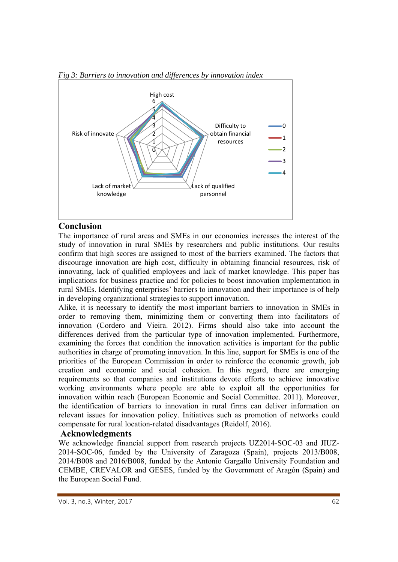

*Fig 3: Barriers to innovation and differences by innovation index* 

# **Conclusion**

The importance of rural areas and SMEs in our economies increases the interest of the study of innovation in rural SMEs by researchers and public institutions. Our results confirm that high scores are assigned to most of the barriers examined. The factors that discourage innovation are high cost, difficulty in obtaining financial resources, risk of innovating, lack of qualified employees and lack of market knowledge. This paper has implications for business practice and for policies to boost innovation implementation in rural SMEs. Identifying enterprises' barriers to innovation and their importance is of help in developing organizational strategies to support innovation.

Alike, it is necessary to identify the most important barriers to innovation in SMEs in order to removing them, minimizing them or converting them into facilitators of innovation (Cordero and Vieira. 2012). Firms should also take into account the differences derived from the particular type of innovation implemented. Furthermore, examining the forces that condition the innovation activities is important for the public authorities in charge of promoting innovation. In this line, support for SMEs is one of the priorities of the European Commission in order to reinforce the economic growth, job creation and economic and social cohesion. In this regard, there are emerging requirements so that companies and institutions devote efforts to achieve innovative working environments where people are able to exploit all the opportunities for innovation within reach (European Economic and Social Committee. 2011). Moreover, the identification of barriers to innovation in rural firms can deliver information on relevant issues for innovation policy. Initiatives such as promotion of networks could compensate for rural location-related disadvantages (Reidolf, 2016).

# **Acknowledgments**

We acknowledge financial support from research projects UZ2014-SOC-03 and JIUZ-2014-SOC-06, funded by the University of Zaragoza (Spain), projects 2013/B008, 2014/B008 and 2016/B008, funded by the Antonio Gargallo University Foundation and CEMBE, CREVALOR and GESES, funded by the Government of Aragón (Spain) and the European Social Fund.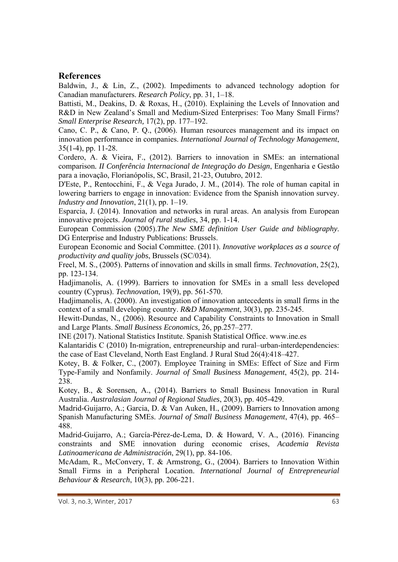# **References**

Baldwin, J., & Lin, Z., (2002). Impediments to advanced technology adoption for Canadian manufacturers. *Research Policy*, pp. 31, 1–18.

Battisti, M., Deakins, D. & Roxas, H., (2010). Explaining the Levels of Innovation and R&D in New Zealand's Small and Medium-Sized Enterprises: Too Many Small Firms? *Small Enterprise Research,* 17(2), pp. 177–192.

Cano, C. P., & Cano, P. Q., (2006). Human resources management and its impact on innovation performance in companies. *International Journal of Technology Management*, 35(1-4), pp. 11-28.

Cordero, A. & Vieira, F., (2012). Barriers to innovation in SMEs: an international comparison*. II Conferência Internacional de Integração do Design*, Engenharia e Gestão para a inovação, Florianópolis, SC, Brasil, 21-23, Outubro, 2012.

D'Este, P., Rentocchini, F., & Vega Jurado, J. M., (2014). The role of human capital in lowering barriers to engage in innovation: Evidence from the Spanish innovation survey. *Industry and Innovation*, 21(1), pp. 1–19.

Esparcia, J. (2014). Innovation and networks in rural areas. An analysis from European innovative projects. *Journal of rural studies*, 34, pp. 1-14.

European Commission (2005).*The New SME definition User Guide and bibliography*. DG Enterprise and Industry Publications: Brussels.

European Economic and Social Committee. (2011). *Innovative workplaces as a source of productivity and quality jobs*, Brussels (SC/034).

Freel, M. S., (2005). Patterns of innovation and skills in small firms. *Technovation*, 25(2), pp. 123-134.

Hadjimanolis, A. (1999). Barriers to innovation for SMEs in a small less developed country (Cyprus). *Technovation*, 19(9), pp. 561-570.

Hadjimanolis, A. (2000). An investigation of innovation antecedents in small firms in the context of a small developing country. *R&D Management*, 30(3), pp. 235-245.

Hewitt-Dundas, N., (2006). Resource and Capability Constraints to Innovation in Small and Large Plants. *Small Business Economics,* 26, pp.257–277.

INE (2017). National Statistics Institute. Spanish Statistical Office. www.ine.es

Kalantaridis C (2010) In-migration, entrepreneurship and rural–urban-interdependencies: the case of East Cleveland, North East England. J Rural Stud 26(4):418–427.

Kotey, B. & Folker, C., (2007). Employee Training in SMEs: Effect of Size and Firm Type-Family and Nonfamily. *Journal of Small Business Management*, 45(2), pp. 214- 238.

Kotey, B., & Sorensen, A., (2014). Barriers to Small Business Innovation in Rural Australia. *Australasian Journal of Regional Studies*, 20(3), pp. 405-429.

Madrid-Guijarro, A.; Garcia, D. & Van Auken, H., (2009). Barriers to Innovation among Spanish Manufacturing SMEs. *Journal of Small Business Management*, 47(4), pp. 465– 488.

Madrid-Guijarro, A.; García-Pérez-de-Lema, D. & Howard, V. A., (2016). Financing constraints and SME innovation during economic crises, *Academia Revista Latinoamericana de Administración*, 29(1), pp. 84-106.

McAdam, R., McConvery, T. & Armstrong, G., (2004). Barriers to Innovation Within Small Firms in a Peripheral Location. *International Journal of Entrepreneurial Behaviour & Research*, 10(3), pp. 206-221.